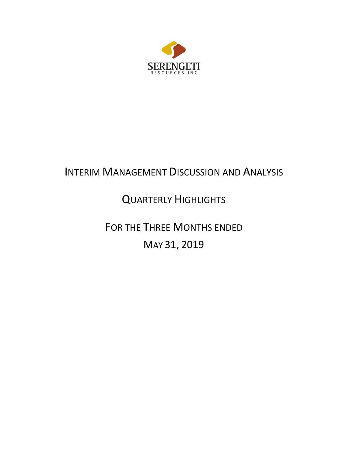

# INTERIM MANAGEMENT DISCUSSION AND ANALYSIS

# QUARTERLY HIGHLIGHTS

FOR THE THREE MONTHS ENDED MAY 31, 2019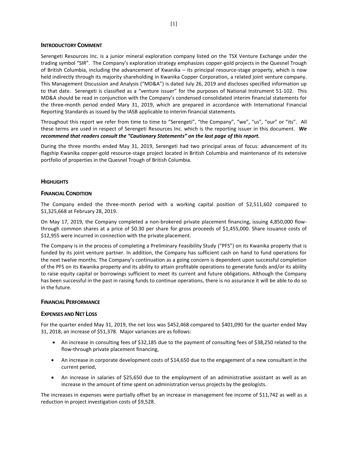## **INTRODUCTORY COMMENT**

Serengeti Resources Inc. is a junior mineral exploration company listed on the TSX Venture Exchange under the trading symbol "SIR". The Company's exploration strategy emphasizes copper-gold projects in the Quesnel Trough of British Columbia, including the advancement of Kwanika – its principal resource-stage property, which is now held indirectly through its majority shareholding in Kwanika Copper Corporation, a related joint venture company. This Management Discussion and Analysis ("MD&A") is dated July 26, 2019 and discloses specified information up to that date. Serengeti is classified as a "venture issuer" for the purposes of National Instrument 51-102. This MD&A should be read in conjunction with the Company's condensed consolidated interim financial statements for the three-month period ended Mary 31, 2019, which are prepared in accordance with International Financial Reporting Standards as issued by the IASB applicable to interim financial statements.

Throughout this report we refer from time to time to "Serengeti", "the Company", "we", "us", "our" or "its". All these terms are used in respect of Serengeti Resources Inc. which is the reporting issuer in this document. *We recommend that readers consult the "Cautionary Statements" on the last page of this report.*

During the three months ended May 31, 2019, Serengeti had two principal areas of focus: advancement of its flagship Kwanika copper-gold resource-stage project located in British Columbia and maintenance of its extensive portfolio of properties in the Quesnel Trough of British Columbia.

# **HIGHLIGHTS**

# **FINANCIAL CONDITION**

The Company ended the three-month period with a working capital position of \$2,511,602 compared to \$1,325,668 at February 28, 2019.

On May 17, 2019, the Company completed a non-brokered private placement financing, issuing 4,850,000 flowthrough common shares at a price of \$0.30 per share for gross proceeds of \$1,455,000. Share issuance costs of \$12,955 were incurred in connection with the private placement.

The Company is in the process of completing a Preliminary Feasibility Study ("PFS") on its Kwanika property that is funded by its joint venture partner. In addition, the Company has sufficient cash on hand to fund operations for the next twelve months. The Company's continuation as a going concern is dependent upon successful completion of the PFS on its Kwanika property and its ability to attain profitable operations to generate funds and/or its ability to raise equity capital or borrowings sufficient to meet its current and future obligations. Although the Company has been successful in the past in raising funds to continue operations, there is no assurance it will be able to do so in the future.

## **FINANCIAL PERFORMANCE**

## **EXPENSES AND NET LOSS**

For the quarter ended May 31, 2019, the net loss was \$452,468 compared to \$401,090 for the quarter ended May 31, 2018, an increase of \$51,378. Major variances are as follows:

- An increase in consulting fees of \$32,185 due to the payment of consulting fees of \$38,250 related to the flow-through private placement financing,
- An increase in corporate development costs of \$14,650 due to the engagement of a new consultant in the current period,
- An increase in salaries of \$25,650 due to the employment of an administrative assistant as well as an increase in the amount of time spent on administration versus projects by the geologists.

The increases in expenses were partially offset by an increase in management fee income of \$11,742 as well as a reduction in project investigation costs of \$9,528.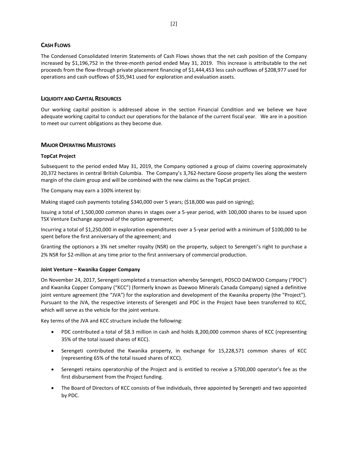# **CASH FLOWS**

The Condensed Consolidated Interim Statements of Cash Flows shows that the net cash position of the Company increased by \$1,196,752 in the three-month period ended May 31, 2019. This increase is attributable to the net proceeds from the flow-through private placement financing of \$1,444,453 less cash outflows of \$208,977 used for operations and cash outflows of \$35,941 used for exploration and evaluation assets.

# **LIQUIDITY AND CAPITAL RESOURCES**

Our working capital position is addressed above in the section Financial Condition and we believe we have adequate working capital to conduct our operations for the balance of the current fiscal year. We are in a position to meet our current obligations as they become due.

# **MAJOR OPERATING MILESTONES**

## **TopCat Project**

Subsequent to the period ended May 31, 2019, the Company optioned a group of claims covering approximately 20,372 hectares in central British Columbia. The Company's 3,762-hectare Goose property lies along the western margin of the claim group and will be combined with the new claims as the TopCat project.

The Company may earn a 100% interest by:

Making staged cash payments totaling \$340,000 over 5 years; (\$18,000 was paid on signing);

Issuing a total of 1,500,000 common shares in stages over a 5-year period, with 100,000 shares to be issued upon TSX Venture Exchange approval of the option agreement;

Incurring a total of \$1,250,000 in exploration expenditures over a 5-year period with a minimum of \$100,000 to be spent before the first anniversary of the agreement; and

Granting the optionors a 3% net smelter royalty (NSR) on the property, subject to Serengeti's right to purchase a 2% NSR for \$2-million at any time prior to the first anniversary of commercial production.

## **Joint Venture – Kwanika Copper Company**

On November 24, 2017, Serengeti completed a transaction whereby Serengeti, POSCO DAEWOO Company ("PDC") and Kwanika Copper Company ("KCC") (formerly known as Daewoo Minerals Canada Company) signed a definitive joint venture agreement (the "JVA") for the exploration and development of the Kwanika property (the "Project"). Pursuant to the JVA, the respective interests of Serengeti and PDC in the Project have been transferred to KCC, which will serve as the vehicle for the joint venture.

Key terms of the JVA and KCC structure include the following:

- PDC contributed a total of \$8.3 million in cash and holds 8,200,000 common shares of KCC (representing 35% of the total issued shares of KCC).
- Serengeti contributed the Kwanika property, in exchange for 15,228,571 common shares of KCC (representing 65% of the total issued shares of KCC).
- Serengeti retains operatorship of the Project and is entitled to receive a \$700,000 operator's fee as the first disbursement from the Project funding.
- The Board of Directors of KCC consists of five individuals, three appointed by Serengeti and two appointed by PDC.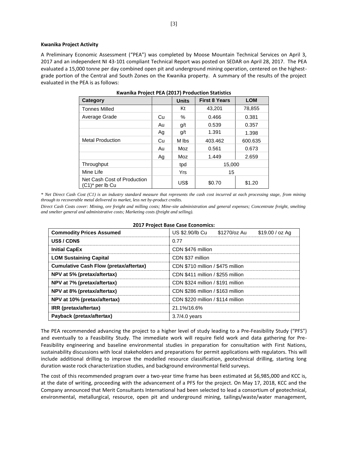#### **Kwanika Project Activity**

A Preliminary Economic Assessment ("PEA") was completed by Moose Mountain Technical Services on April 3, 2017 and an independent NI 43-101 compliant Technical Report was posted on SEDAR on April 28, 2017. The PEA evaluated a 15,000 tonne per day combined open pit and underground mining operation, centered on the highestgrade portion of the Central and South Zones on the Kwanika property. A summary of the results of the project evaluated in the PEA is as follows:

| Category                                          |    | <b>Units</b> | <b>First 8 Years</b> | <b>LOM</b> |
|---------------------------------------------------|----|--------------|----------------------|------------|
| <b>Tonnes Milled</b>                              |    | Kt           | 43,201               | 78,855     |
| Average Grade                                     | Cu | $\%$         | 0.466                | 0.381      |
|                                                   | Au | g/t          | 0.539                | 0.357      |
|                                                   | Ag | q/t          | 1.391                | 1.398      |
| <b>Metal Production</b>                           | Cu | M lbs        | 403.462              | 600.635    |
|                                                   | Au | Moz          | 0.561                | 0.673      |
|                                                   | Ag | Moz          | 1.449                | 2.659      |
| Throughput                                        |    | tpd          | 15,000               |            |
| Mine Life                                         |    | Yrs          | 15                   |            |
| Net Cash Cost of Production<br>$(C1)^*$ per lb Cu |    | US\$         | \$0.70               | \$1.20     |

*\* Net Direct Cash Cost (C1) is an industry standard measure that represents the cash cost incurred at each processing stage, from mining through to recoverable metal delivered to market, less net by-product credits.* 

*Direct Cash Costs cover: Mining, ore freight and milling costs; Mine-site administration and general expenses; Concentrate freight, smelting and smelter general and administrative costs; Marketing costs (freight and selling).*

| <b>Commodity Prices Assumed</b>               | US \$2.90/lb Cu<br>\$1270/oz Au<br>$$19.00 / oz$ Ag |  |  |  |  |  |
|-----------------------------------------------|-----------------------------------------------------|--|--|--|--|--|
| US\$/CDN\$                                    | 0.77                                                |  |  |  |  |  |
| <b>Initial CapEx</b>                          | CDN \$476 million                                   |  |  |  |  |  |
| <b>LOM Sustaining Capital</b>                 | CDN \$37 million                                    |  |  |  |  |  |
| <b>Cumulative Cash Flow (pretax/aftertax)</b> | CDN \$710 million / \$475 million                   |  |  |  |  |  |
| NPV at 5% (pretax/aftertax)                   | CDN \$411 million / \$255 million                   |  |  |  |  |  |
| NPV at 7% (pretax/aftertax)                   | CDN \$324 million / \$191 million                   |  |  |  |  |  |
| NPV at 8% (pretax/aftertax)                   | CDN \$286 million / \$163 million                   |  |  |  |  |  |
| NPV at 10% (pretax/aftertax)                  | CDN \$220 million / \$114 million                   |  |  |  |  |  |
| IRR (pretax/aftertax)                         | 21.1%/16.6%                                         |  |  |  |  |  |
| Payback (pretax/aftertax)                     | $3.7/4.0$ years                                     |  |  |  |  |  |

#### **2017 Project Base Case Economics:**

The PEA recommended advancing the project to a higher level of study leading to a Pre-Feasibility Study ("PFS") and eventually to a Feasibility Study. The immediate work will require field work and data gathering for Pre-Feasibility engineering and baseline environmental studies in preparation for consultation with First Nations, sustainability discussions with local stakeholders and preparations for permit applications with regulators. This will include additional drilling to improve the modelled resource classification, geotechnical drilling, starting long duration waste rock characterization studies, and background environmental field surveys.

The cost of this recommended program over a two-year time frame has been estimated at \$6,985,000 and KCC is, at the date of writing, proceeding with the advancement of a PFS for the project. On May 17, 2018, KCC and the Company announced that Merit Consultants International had been selected to lead a consortium of geotechnical, environmental, metallurgical, resource, open pit and underground mining, tailings/waste/water management,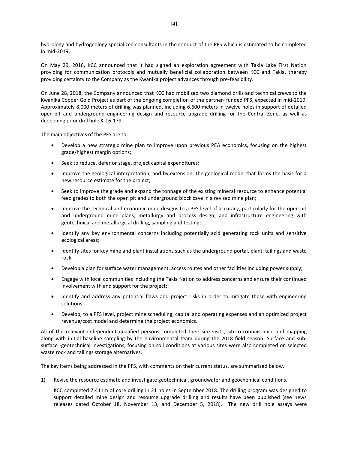hydrology and hydrogeology specialized consultants in the conduct of the PFS which is estimated to be completed in mid-2019.

On May 29, 2018, KCC announced that it had signed an exploration agreement with Takla Lake First Nation providing for communication protocols and mutually beneficial collaboration between KCC and Takla, thereby providing certainty to the Company as the Kwanika project advances through pre-feasibility.

On June 28, 2018, the Company announced that KCC had mobilized two diamond drills and technical crews to the Kwanika Copper Gold Project as part of the ongoing completion of the partner- funded PFS, expected in mid-2019. Approximately 8,000 meters of drilling was planned, including 6,600 meters in twelve holes in support of detailed open-pit and underground engineering design and resource upgrade drilling for the Central Zone, as well as deepening prior drill hole K-16-179.

The main objectives of the PFS are to:

- Develop a new strategic mine plan to improve upon previous PEA economics, focusing on the highest grade/highest margin options;
- Seek to reduce, defer or stage, project capital expenditures;
- Improve the geological interpretation, and by extension, the geological model that forms the basis for a new resource estimate for the project;
- Seek to improve the grade and expand the tonnage of the existing mineral resource to enhance potential feed grades to both the open pit and underground block cave in a revised mine plan;
- Improve the technical and economic mine designs to a PFS level of accuracy, particularly for the open pit and underground mine plans, metallurgy and process design, and infrastructure engineering with geotechnical and metallurgical drilling, sampling and testing;
- Identify any key environmental concerns including potentially acid generating rock units and sensitive ecological areas;
- Identify sites for key mine and plant installations such as the underground portal, plant, tailings and waste rock;
- Develop a plan for surface water management, access routes and other facilities including power supply;
- Engage with local communities including the Takla Nation to address concerns and ensure their continued involvement with and support for the project;
- Identify and address any potential flaws and project risks in order to mitigate these with engineering solutions;
- Develop, to a PFS level, project mine scheduling, capital and operating expenses and an optimized project revenue/cost model and determine the project economics.

All of the relevant independent qualified persons completed their site visits, site reconnaissance and mapping along with initial baseline sampling by the environmental team during the 2018 field season. Surface and subsurface -geotechnical investigations, focusing on soil conditions at various sites were also completed on selected waste rock and tailings storage alternatives.

The key items being addressed in the PFS, with comments on their current status, are summarized below.

1) Revise the resource estimate and investigate geotechnical, groundwater and geochemical conditions.

KCC completed 7,411m of core drilling in 21 holes in September 2018. The drilling program was designed to support detailed mine design and resource upgrade drilling and results have been published (see news releases dated October 18, November 13, and December 5, 2018). The new drill hole assays were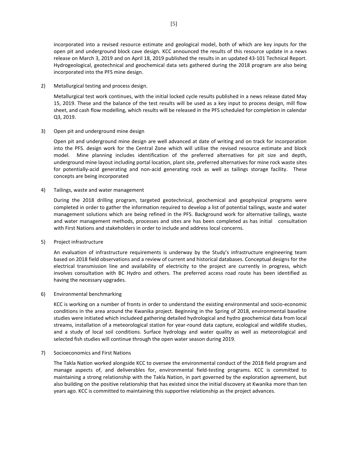incorporated into a revised resource estimate and geological model, both of which are key inputs for the open pit and underground block cave design. KCC announced the results of this resource update in a news release on March 3, 2019 and on April 18, 2019 published the results in an updated 43-101 Technical Report. Hydrogeological, geotechnical and geochemical data sets gathered during the 2018 program are also being incorporated into the PFS mine design.

2) Metallurgical testing and process design.

Metallurgical test work continues, with the initial locked cycle results published in a news release dated May 15, 2019. These and the balance of the test results will be used as a key input to process design, mill flow sheet, and cash flow modelling, which results will be released in the PFS scheduled for completion in calendar Q3, 2019.

3) Open pit and underground mine design

Open pit and underground mine design are well advanced at date of writing and on track for incorporation into the PFS. design work for the Central Zone which will utilise the revised resource estimate and block model. Mine planning includes identification of the preferred alternatives for pit size and depth, underground mine layout including portal location, plant site, preferred alternatives for mine rock waste sites for potentially-acid generating and non-acid generating rock as well as tailings storage facility. These concepts are being incorporated

4) Tailings, waste and water management

During the 2018 drilling program, targeted geotechnical, geochemical and geophysical programs were completed in order to gather the information required to develop a list of potential tailings, waste and water management solutions which are being refined in the PFS. Background work for alternative tailings, waste and water management methods, processes and sites are has been completed as has initial consultation with First Nations and stakeholders in order to include and address local concerns.

5) Project infrastructure

An evaluation of infrastructure requirements is underway by the Study's infrastructure engineering team based on 2018 field observations and a review of current and historical databases. Conceptual designs for the electrical transmission line and availability of electricity to the project are currently in progress, which involves consultation with BC Hydro and others. The preferred access road route has been identified as having the necessary upgrades.

6) Environmental benchmarking

KCC is working on a number of fronts in order to understand the existing environmental and socio-economic conditions in the area around the Kwanika project. Beginning in the Spring of 2018, environmental baseline studies were initiated which includeed gathering detailed hydrological and hydro geochemical data from local streams, installation of a meteorological station for year-round data capture, ecological and wildlife studies, and a study of local soil conditions. Surface hydrology and water quality as well as meteorological and selected fish studies will continue through the open water season during 2019.

7) Socioeconomics and First Nations

The Takla Nation worked alongside KCC to oversee the environmental conduct of the 2018 field program and manage aspects of, and deliverables for, environmental field-testing programs. KCC is committed to maintaining a strong relationship with the Takla Nation, in part governed by the exploration agreement, but also building on the positive relationship that has existed since the initial discovery at Kwanika more than ten years ago. KCC is committed to maintaining this supportive relationship as the project advances.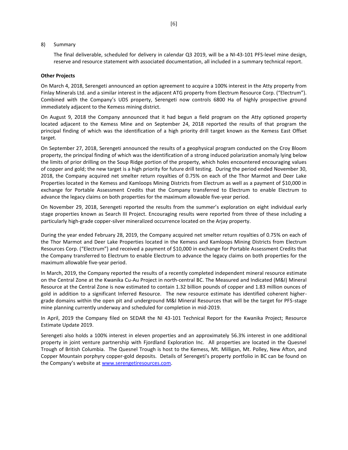#### 8) Summary

The final deliverable, scheduled for delivery in calendar Q3 2019, will be a NI-43-101 PFS-level mine design, reserve and resource statement with associated documentation, all included in a summary technical report.

#### **Other Projects**

On March 4, 2018, Serengeti announced an option agreement to acquire a 100% interest in the Atty property from Finlay Minerals Ltd. and a similar interest in the adjacent ATG property from Electrum Resource Corp. ("Electrum"). Combined with the Company's UDS property, Serengeti now controls 6800 Ha of highly prospective ground immediately adjacent to the Kemess mining district.

On August 9, 2018 the Company announced that it had begun a field program on the Atty optioned property located adjacent to the Kemess Mine and on September 24, 2018 reported the results of that program the principal finding of which was the identification of a high priority drill target known as the Kemess East Offset target.

On September 27, 2018, Serengeti announced the results of a geophysical program conducted on the Croy Bloom property, the principal finding of which was the identification of a strong induced polarization anomaly lying below the limits of prior drilling on the Soup Ridge portion of the property, which holes encountered encouraging values of copper and gold; the new target is a high priority for future drill testing. During the period ended November 30, 2018, the Company acquired net smelter return royalties of 0.75% on each of the Thor Marmot and Deer Lake Properties located in the Kemess and Kamloops Mining Districts from Electrum as well as a payment of \$10,000 in exchange for Portable Assessment Credits that the Company transferred to Electrum to enable Electrum to advance the legacy claims on both properties for the maximum allowable five-year period.

On November 29, 2018, Serengeti reported the results from the summer's exploration on eight individual early stage properties known as Search III Project. Encouraging results were reported from three of these including a particularly high-grade copper-silver mineralized occurrence located on the Arjay property.

During the year ended February 28, 2019, the Company acquired net smelter return royalties of 0.75% on each of the Thor Marmot and Deer Lake Properties located in the Kemess and Kamloops Mining Districts from Electrum Resources Corp. ("Electrum") and received a payment of \$10,000 in exchange for Portable Assessment Credits that the Company transferred to Electrum to enable Electrum to advance the legacy claims on both properties for the maximum allowable five-year period.

In March, 2019, the Company reported the results of a recently completed independent mineral resource estimate on the Central Zone at the Kwanika Cu-Au Project in north-central BC. The Measured and Indicated (M&I) Mineral Resource at the Central Zone is now estimated to contain 1.32 billion pounds of copper and 1.83 million ounces of gold in addition to a significant Inferred Resource. The new resource estimate has identified coherent highergrade domains within the open pit and underground M&I Mineral Resources that will be the target for PFS-stage mine planning currently underway and scheduled for completion in mid-2019.

In April, 2019 the Company filed on SEDAR the NI 43-101 Technical Report for the Kwanika Project; Resource Estimate Update 2019.

Serengeti also holds a 100% interest in eleven properties and an approximately 56.3% interest in one additional property in joint venture partnership with Fjordland Exploration Inc. All properties are located in the Quesnel Trough of British Columbia. The Quesnel Trough is host to the Kemess, Mt. Milligan, Mt. Polley, New Afton, and Copper Mountain porphyry copper-gold deposits. Details of Serengeti's property portfolio in BC can be found on the Company's website at [www.serengetiresources.com.](http://www.serengetiresources.com/)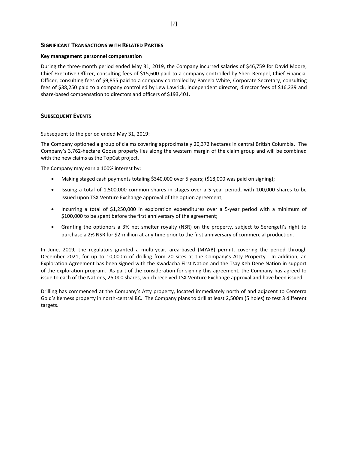# **SIGNIFICANT TRANSACTIONS WITH RELATED PARTIES**

### **Key management personnel compensation**

During the three-month period ended May 31, 2019, the Company incurred salaries of \$46,759 for David Moore, Chief Executive Officer, consulting fees of \$15,600 paid to a company controlled by Sheri Rempel, Chief Financial Officer, consulting fees of \$9,855 paid to a company controlled by Pamela White, Corporate Secretary, consulting fees of \$38,250 paid to a company controlled by Lew Lawrick, independent director, director fees of \$16,239 and share-based compensation to directors and officers of \$193,401.

# **SUBSEQUENT EVENTS**

Subsequent to the period ended May 31, 2019:

The Company optioned a group of claims covering approximately 20,372 hectares in central British Columbia. The Company's 3,762-hectare Goose property lies along the western margin of the claim group and will be combined with the new claims as the TopCat project.

The Company may earn a 100% interest by:

- Making staged cash payments totaling \$340,000 over 5 years; (\$18,000 was paid on signing);
- Issuing a total of 1,500,000 common shares in stages over a 5-year period, with 100,000 shares to be issued upon TSX Venture Exchange approval of the option agreement;
- Incurring a total of \$1,250,000 in exploration expenditures over a 5-year period with a minimum of \$100,000 to be spent before the first anniversary of the agreement;
- Granting the optionors a 3% net smelter royalty (NSR) on the property, subject to Serengeti's right to purchase a 2% NSR for \$2-million at any time prior to the first anniversary of commercial production.

In June, 2019, the regulators granted a multi-year, area-based (MYAB) permit, covering the period through December 2021, for up to 10,000m of drilling from 20 sites at the Company's Atty Property. In addition, an Exploration Agreement has been signed with the Kwadacha First Nation and the Tsay Keh Dene Nation in support of the exploration program. As part of the consideration for signing this agreement, the Company has agreed to issue to each of the Nations, 25,000 shares, which received TSX Venture Exchange approval and have been issued.

Drilling has commenced at the Company's Atty property, located immediately north of and adjacent to Centerra Gold's Kemess property in north-central BC. The Company plans to drill at least 2,500m (5 holes) to test 3 different targets.